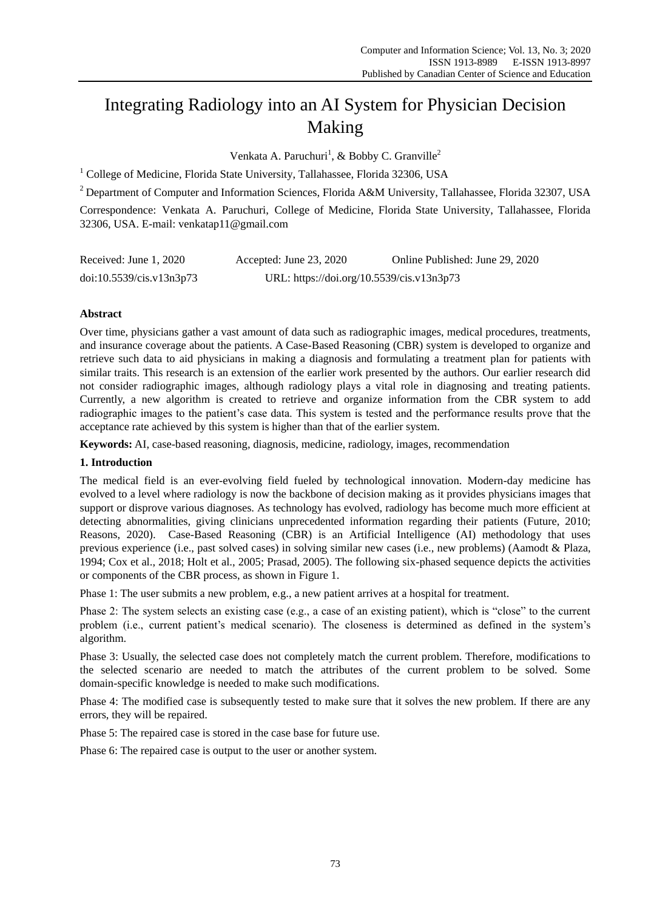# Integrating Radiology into an AI System for Physician Decision Making

Venkata A. Paruchuri<sup>1</sup>, & Bobby C. Granville<sup>2</sup>

<sup>1</sup> College of Medicine, Florida State University, Tallahassee, Florida 32306, USA

<sup>2</sup> Department of Computer and Information Sciences, Florida A&M University, Tallahassee, Florida 32307, USA

Correspondence: Venkata A. Paruchuri, College of Medicine, Florida State University, Tallahassee, Florida 32306, USA. E-mail: venkatap11@gmail.com

| Received: June 1, 2020   | Accepted: June 23, 2020                   | Online Published: June 29, 2020 |
|--------------------------|-------------------------------------------|---------------------------------|
| doi:10.5539/cis.v13n3p73 | URL: https://doi.org/10.5539/cis.v13n3p73 |                                 |

# **Abstract**

Over time, physicians gather a vast amount of data such as radiographic images, medical procedures, treatments, and insurance coverage about the patients. A Case-Based Reasoning (CBR) system is developed to organize and retrieve such data to aid physicians in making a diagnosis and formulating a treatment plan for patients with similar traits. This research is an extension of the earlier work presented by the authors. Our earlier research did not consider radiographic images, although radiology plays a vital role in diagnosing and treating patients. Currently, a new algorithm is created to retrieve and organize information from the CBR system to add radiographic images to the patient's case data. This system is tested and the performance results prove that the acceptance rate achieved by this system is higher than that of the earlier system.

**Keywords:** AI, case-based reasoning, diagnosis, medicine, radiology, images, recommendation

## **1. Introduction**

The medical field is an ever-evolving field fueled by technological innovation. Modern-day medicine has evolved to a level where radiology is now the backbone of decision making as it provides physicians images that support or disprove various diagnoses. As technology has evolved, radiology has become much more efficient at detecting abnormalities, giving clinicians unprecedented information regarding their patients (Future, 2010; Reasons, 2020). Case-Based Reasoning (CBR) is an Artificial Intelligence (AI) methodology that uses previous experience (i.e., past solved cases) in solving similar new cases (i.e., new problems) (Aamodt & Plaza, 1994; Cox et al., 2018; Holt et al., 2005; Prasad, 2005). The following six-phased sequence depicts the activities or components of the CBR process, as shown in Figure 1.

Phase 1: The user submits a new problem, e.g., a new patient arrives at a hospital for treatment.

Phase 2: The system selects an existing case (e.g., a case of an existing patient), which is "close" to the current problem (i.e., current patient's medical scenario). The closeness is determined as defined in the system's algorithm.

Phase 3: Usually, the selected case does not completely match the current problem. Therefore, modifications to the selected scenario are needed to match the attributes of the current problem to be solved. Some domain-specific knowledge is needed to make such modifications.

Phase 4: The modified case is subsequently tested to make sure that it solves the new problem. If there are any errors, they will be repaired.

Phase 5: The repaired case is stored in the case base for future use.

Phase 6: The repaired case is output to the user or another system.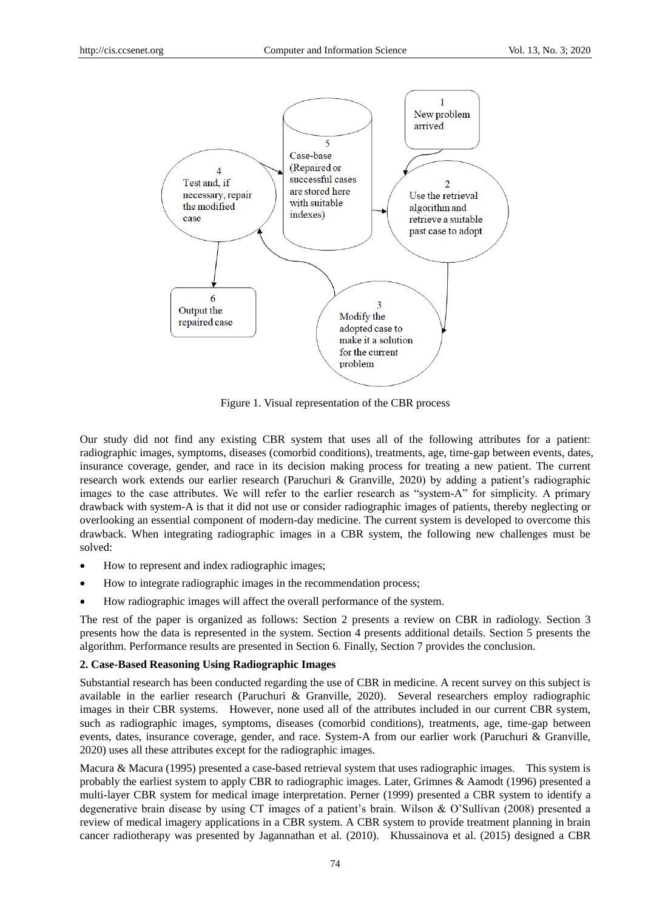

Figure 1. Visual representation of the CBR process

Our study did not find any existing CBR system that uses all of the following attributes for a patient: radiographic images, symptoms, diseases (comorbid conditions), treatments, age, time-gap between events, dates, insurance coverage, gender, and race in its decision making process for treating a new patient. The current research work extends our earlier research (Paruchuri & Granville, 2020) by adding a patient's radiographic images to the case attributes. We will refer to the earlier research as "system-A" for simplicity. A primary drawback with system-A is that it did not use or consider radiographic images of patients, thereby neglecting or overlooking an essential component of modern-day medicine. The current system is developed to overcome this drawback. When integrating radiographic images in a CBR system, the following new challenges must be solved:

- How to represent and index radiographic images;
- How to integrate radiographic images in the recommendation process;
- How radiographic images will affect the overall performance of the system.

The rest of the paper is organized as follows: Section 2 presents a review on CBR in radiology. Section 3 presents how the data is represented in the system. Section 4 presents additional details. Section 5 presents the algorithm. Performance results are presented in Section 6. Finally, Section 7 provides the conclusion.

## **2. Case-Based Reasoning Using Radiographic Images**

Substantial research has been conducted regarding the use of CBR in medicine. A recent survey on this subject is available in the earlier research (Paruchuri & Granville, 2020). Several researchers employ radiographic images in their CBR systems. However, none used all of the attributes included in our current CBR system, such as radiographic images, symptoms, diseases (comorbid conditions), treatments, age, time-gap between events, dates, insurance coverage, gender, and race. System-A from our earlier work (Paruchuri & Granville, 2020) uses all these attributes except for the radiographic images.

Macura & Macura (1995) presented a case-based retrieval system that uses radiographic images. This system is probably the earliest system to apply CBR to radiographic images. Later, Grimnes & Aamodt (1996) presented a multi-layer CBR system for medical image interpretation. Perner (1999) presented a CBR system to identify a degenerative brain disease by using CT images of a patient's brain. Wilson & O'Sullivan (2008) presented a review of medical imagery applications in a CBR system. A CBR system to provide treatment planning in brain cancer radiotherapy was presented by Jagannathan et al. (2010). Khussainova et al. (2015) designed a CBR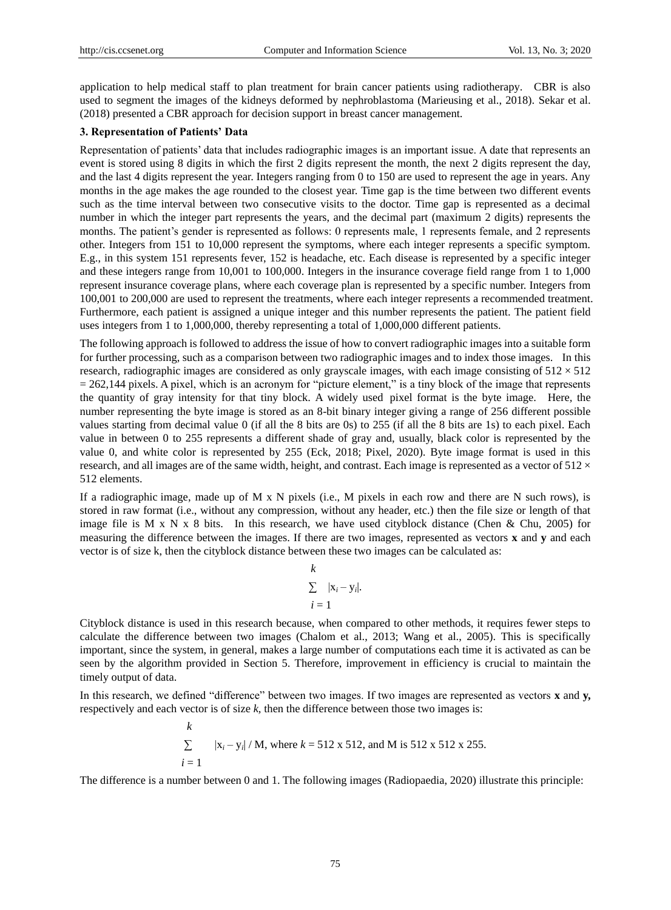application to help medical staff to plan treatment for brain cancer patients using radiotherapy. CBR is also used to segment the images of the kidneys deformed by nephroblastoma (Marieusing et al., 2018). Sekar et al. (2018) presented a CBR approach for decision support in breast cancer management.

## **3. Representation of Patients' Data**

Representation of patients' data that includes radiographic images is an important issue. A date that represents an event is stored using 8 digits in which the first 2 digits represent the month, the next 2 digits represent the day, and the last 4 digits represent the year. Integers ranging from 0 to 150 are used to represent the age in years. Any months in the age makes the age rounded to the closest year. Time gap is the time between two different events such as the time interval between two consecutive visits to the doctor. Time gap is represented as a decimal number in which the integer part represents the years, and the decimal part (maximum 2 digits) represents the months. The patient's gender is represented as follows: 0 represents male, 1 represents female, and 2 represents other. Integers from 151 to 10,000 represent the symptoms, where each integer represents a specific symptom. E.g., in this system 151 represents fever, 152 is headache, etc. Each disease is represented by a specific integer and these integers range from 10,001 to 100,000. Integers in the insurance coverage field range from 1 to 1,000 represent insurance coverage plans, where each coverage plan is represented by a specific number. Integers from 100,001 to 200,000 are used to represent the treatments, where each integer represents a recommended treatment. Furthermore, each patient is assigned a unique integer and this number represents the patient. The patient field uses integers from 1 to 1,000,000, thereby representing a total of 1,000,000 different patients.

The following approach is followed to address the issue of how to convert radiographic images into a suitable form for further processing, such as a comparison between two radiographic images and to index those images. In this research, radiographic images are considered as only grayscale images, with each image consisting of  $512 \times 512$  $= 262,144$  pixels. A pixel, which is an acronym for "picture element," is a tiny block of the image that represents the quantity of gray intensity for that tiny block. A widely used pixel format is the byte image. Here*,* the number representing the byte image is stored as an 8-bit binary integer giving a range of 256 different possible values starting from decimal value 0 (if all the 8 bits are 0s) to 255 (if all the 8 bits are 1s) to each pixel. Each value in between 0 to 255 represents a different shade of gray and, usually, black color is represented by the value 0, and white color is represented by 255 (Eck, 2018; Pixel, 2020). Byte image format is used in this research, and all images are of the same width, height, and contrast. Each image is represented as a vector of  $512 \times$ 512 elements.

If a radiographic image, made up of M x N pixels (i.e., M pixels in each row and there are N such rows), is stored in raw format (i.e., without any compression, without any header, etc.) then the file size or length of that image file is  $M \times N \times 8$  bits. In this research, we have used cityblock distance (Chen & Chu, 2005) for measuring the difference between the images. If there are two images, represented as vectors **x** and **y** and each vector is of size k, then the cityblock distance between these two images can be calculated as:

$$
\frac{k}{\sum_{i=1}^{n} |x_i - y_i|}.
$$

Cityblock distance is used in this research because, when compared to other methods, it requires fewer steps to calculate the difference between two images (Chalom et al., 2013; Wang et al., 2005). This is specifically important, since the system, in general, makes a large number of computations each time it is activated as can be seen by the algorithm provided in Section 5. Therefore, improvement in efficiency is crucial to maintain the timely output of data.

In this research, we defined "difference" between two images. If two images are represented as vectors **x** and **y,** respectively and each vector is of size *k,* then the difference between those two images is:

k  
\n
$$
\sum_{i=1}^{\infty} |x_i - y_i| / M
$$
, where  $k = 512 \times 512$ , and M is 512 x 512 x 255.

The difference is a number between 0 and 1. The following images (Radiopaedia, 2020) illustrate this principle: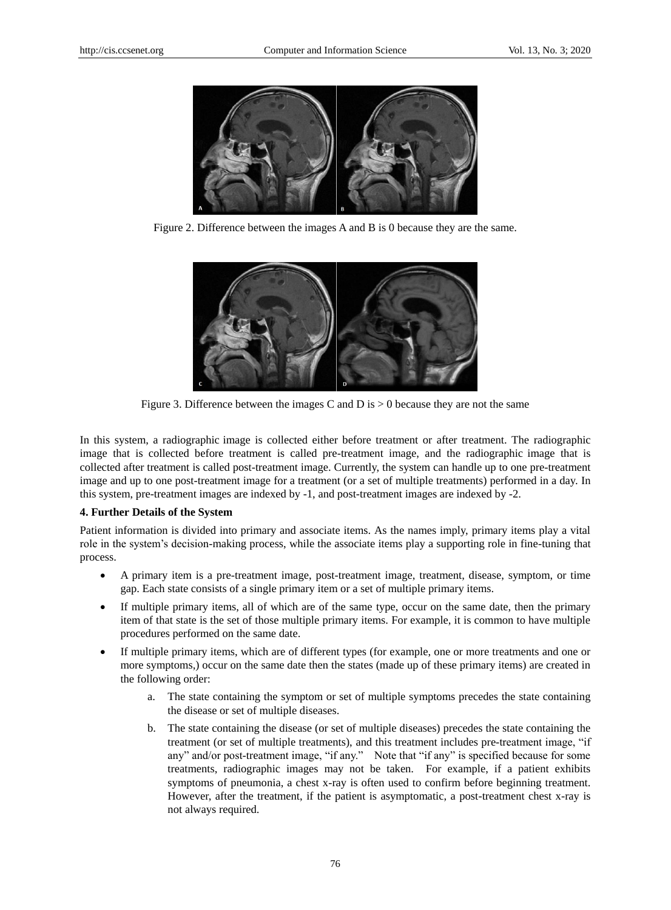

Figure 2. Difference between the images A and B is 0 because they are the same.

![](_page_3_Picture_5.jpeg)

Figure 3. Difference between the images C and D is  $> 0$  because they are not the same

In this system, a radiographic image is collected either before treatment or after treatment. The radiographic image that is collected before treatment is called pre-treatment image, and the radiographic image that is collected after treatment is called post-treatment image. Currently, the system can handle up to one pre-treatment image and up to one post-treatment image for a treatment (or a set of multiple treatments) performed in a day. In this system, pre-treatment images are indexed by -1, and post-treatment images are indexed by -2.

#### **4. Further Details of the System**

Patient information is divided into primary and associate items. As the names imply, primary items play a vital role in the system's decision-making process, while the associate items play a supporting role in fine-tuning that process.

- A primary item is a pre-treatment image, post-treatment image, treatment, disease, symptom, or time gap. Each state consists of a single primary item or a set of multiple primary items.
- If multiple primary items, all of which are of the same type, occur on the same date, then the primary item of that state is the set of those multiple primary items. For example, it is common to have multiple procedures performed on the same date.
- If multiple primary items, which are of different types (for example, one or more treatments and one or more symptoms,) occur on the same date then the states (made up of these primary items) are created in the following order:
	- a. The state containing the symptom or set of multiple symptoms precedes the state containing the disease or set of multiple diseases.
	- b. The state containing the disease (or set of multiple diseases) precedes the state containing the treatment (or set of multiple treatments), and this treatment includes pre-treatment image, "if any" and/or post-treatment image, "if any." Note that "if any" is specified because for some treatments, radiographic images may not be taken. For example, if a patient exhibits symptoms of pneumonia, a chest x-ray is often used to confirm before beginning treatment. However, after the treatment, if the patient is asymptomatic, a post-treatment chest x-ray is not always required.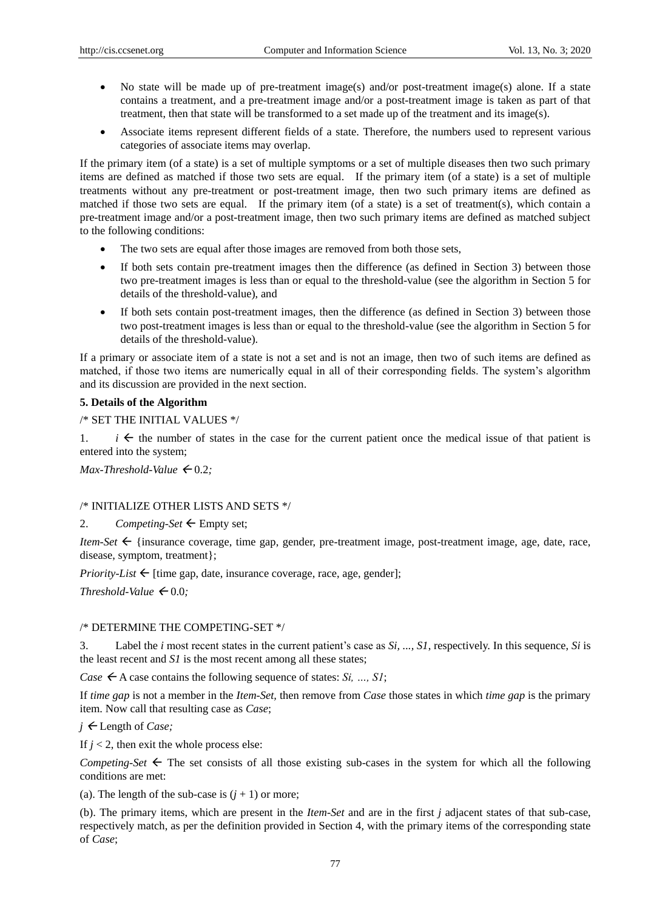- No state will be made up of pre-treatment image(s) and/or post-treatment image(s) alone. If a state contains a treatment, and a pre-treatment image and/or a post-treatment image is taken as part of that treatment, then that state will be transformed to a set made up of the treatment and its image(s).
- Associate items represent different fields of a state. Therefore, the numbers used to represent various categories of associate items may overlap.

If the primary item (of a state) is a set of multiple symptoms or a set of multiple diseases then two such primary items are defined as matched if those two sets are equal. If the primary item (of a state) is a set of multiple treatments without any pre-treatment or post-treatment image, then two such primary items are defined as matched if those two sets are equal. If the primary item (of a state) is a set of treatment(s), which contain a pre-treatment image and/or a post-treatment image, then two such primary items are defined as matched subject to the following conditions:

- The two sets are equal after those images are removed from both those sets,
- If both sets contain pre-treatment images then the difference (as defined in Section 3) between those two pre-treatment images is less than or equal to the threshold-value (see the algorithm in Section 5 for details of the threshold-value), and
- If both sets contain post-treatment images, then the difference (as defined in Section 3) between those two post-treatment images is less than or equal to the threshold-value (see the algorithm in Section 5 for details of the threshold-value).

If a primary or associate item of a state is not a set and is not an image, then two of such items are defined as matched, if those two items are numerically equal in all of their corresponding fields. The system's algorithm and its discussion are provided in the next section.

## **5. Details of the Algorithm**

/\* SET THE INITIAL VALUES \*/

1.  $i \leftarrow$  the number of states in the case for the current patient once the medical issue of that patient is entered into the system;

*Max-Threshold-Value*  $\leftarrow 0.2$ ;

#### /\* INITIALIZE OTHER LISTS AND SETS \*/

2. *Competing-Set*  $\leftarrow$  Empty set;

*Item-Set*  $\leftarrow$  {insurance coverage, time gap, gender, pre-treatment image, post-treatment image, age, date, race, disease, symptom, treatment};

*Priority-List*  $\leftarrow$  [time gap, date, insurance coverage, race, age, gender];

*Threshold-Value*  $\leftarrow 0.0$ ;

## /\* DETERMINE THE COMPETING-SET \*/

3. Label the *i* most recent states in the current patient's case as *Si, ..., S1*, respectively. In this sequence, *Si* is the least recent and *S1* is the most recent among all these states;

*Case*  $\leftarrow$  A case contains the following sequence of states: *Si*, ..., *S1*;

If *time gap* is not a member in the *Item-Set,* then remove from *Case* those states in which *time gap* is the primary item. Now call that resulting case as *Case*;

*j* ← Length of *Case*;

If  $j < 2$ , then exit the whole process else:

*Competing-Set*  $\leftarrow$  The set consists of all those existing sub-cases in the system for which all the following conditions are met:

(a). The length of the sub-case is  $(j + 1)$  or more;

(b). The primary items, which are present in the *Item-Set* and are in the first *j* adjacent states of that sub-case, respectively match, as per the definition provided in Section 4, with the primary items of the corresponding state of *Case*;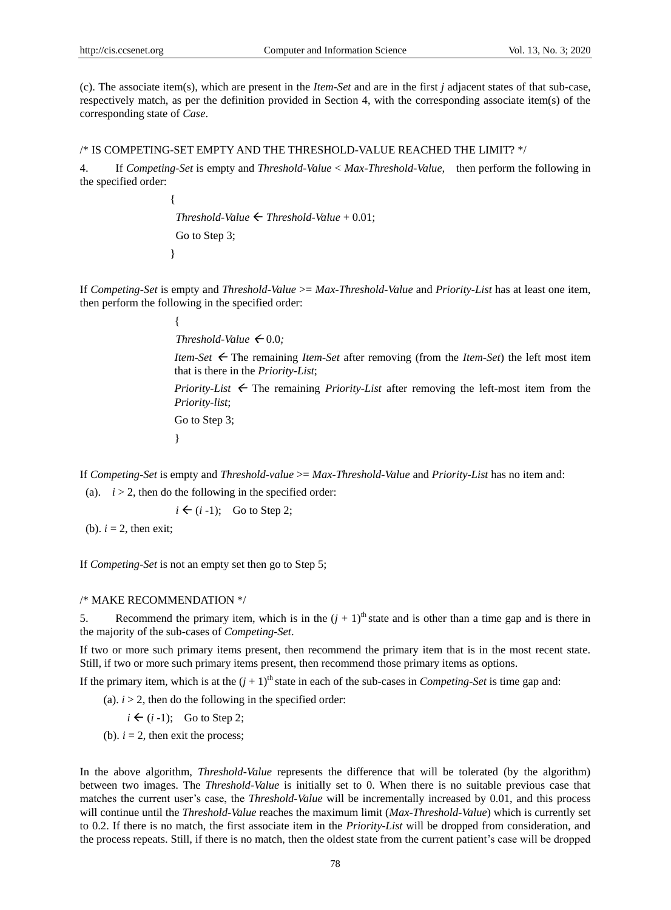(c). The associate item(s), which are present in the *Item-Set* and are in the first *j* adjacent states of that sub-case, respectively match, as per the definition provided in Section 4, with the corresponding associate item(s) of the corresponding state of *Case*.

### /\* IS COMPETING-SET EMPTY AND THE THRESHOLD-VALUE REACHED THE LIMIT? \*/

4. If *Competing-Set* is empty and *Threshold-Value* < *Max-Threshold-Value,* then perform the following in the specified order:

 $\{$ *Threshold-Value*  $\leftarrow$  *Threshold-Value* + 0.01; Go to Step 3; }

If *Competing-Set* is empty and *Threshold-Value* >= *Max-Threshold-Value* and *Priority-List* has at least one item, then perform the following in the specified order:

*Threshold-Value*  $\leftarrow 0.0$ *;* 

*Item-Set*  The remaining *Item-Set* after removing (from the *Item-Set*) the left most item that is there in the *Priority-List*;

*Priority-List*  $\leftarrow$  The remaining *Priority-List* after removing the left-most item from the *Priority-list*;

Go to Step 3;

}

{

If *Competing-Set* is empty and *Threshold-value* >= *Max-Threshold-Value* and *Priority-List* has no item and:

(a).  $i > 2$ , then do the following in the specified order:

 $i \leftarrow (i-1)$ ; Go to Step 2;

(b).  $i = 2$ , then exit;

If *Competing-Set* is not an empty set then go to Step 5;

/\* MAKE RECOMMENDATION \*/

Recommend the primary item, which is in the  $(j + 1)$ <sup>th</sup> state and is other than a time gap and is there in the majority of the sub-cases of *Competing-Set*.

If two or more such primary items present, then recommend the primary item that is in the most recent state. Still, if two or more such primary items present, then recommend those primary items as options.

If the primary item, which is at the  $(j + 1)$ <sup>th</sup> state in each of the sub-cases in *Competing-Set* is time gap and:

(a).  $i > 2$ , then do the following in the specified order:

 $i \leftarrow (i-1)$ ; Go to Step 2;

(b).  $i = 2$ , then exit the process;

In the above algorithm, *Threshold-Value* represents the difference that will be tolerated (by the algorithm) between two images. The *Threshold-Value* is initially set to 0. When there is no suitable previous case that matches the current user's case, the *Threshold-Value* will be incrementally increased by 0.01, and this process will continue until the *Threshold-Value* reaches the maximum limit (*Max-Threshold-Value*) which is currently set to 0.2. If there is no match, the first associate item in the *Priority-List* will be dropped from consideration, and the process repeats. Still, if there is no match, then the oldest state from the current patient's case will be dropped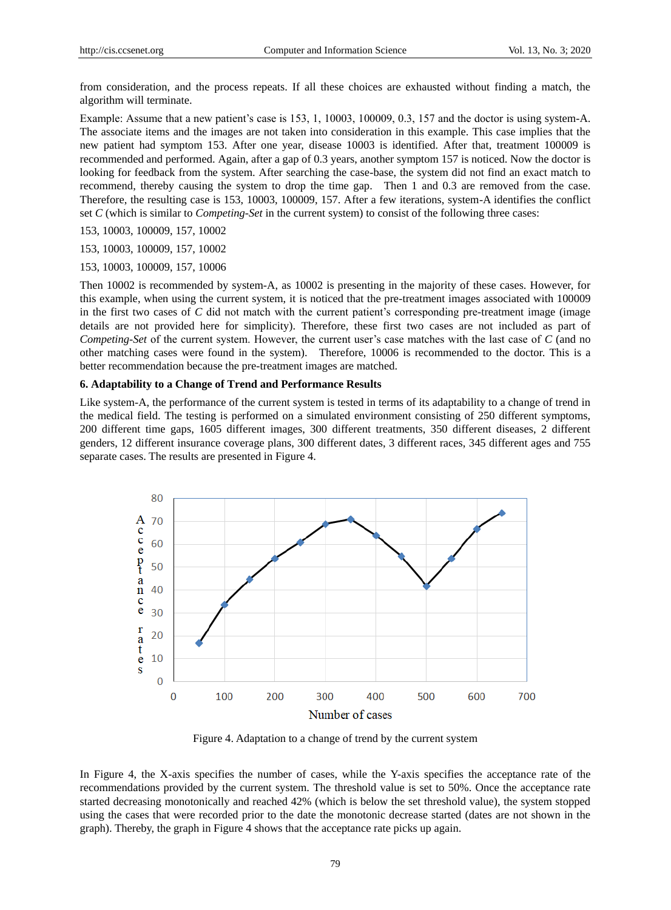from consideration, and the process repeats. If all these choices are exhausted without finding a match, the algorithm will terminate.

Example: Assume that a new patient's case is 153, 1, 10003, 100009, 0.3, 157 and the doctor is using system-A. The associate items and the images are not taken into consideration in this example. This case implies that the new patient had symptom 153. After one year, disease 10003 is identified. After that, treatment 100009 is recommended and performed. Again, after a gap of 0.3 years, another symptom 157 is noticed. Now the doctor is looking for feedback from the system. After searching the case-base, the system did not find an exact match to recommend, thereby causing the system to drop the time gap. Then 1 and 0.3 are removed from the case. Therefore, the resulting case is 153, 10003, 100009, 157. After a few iterations, system-A identifies the conflict set *C* (which is similar to *Competing-Set* in the current system) to consist of the following three cases:

- 153, 10003, 100009, 157, 10002
- 153, 10003, 100009, 157, 10002
- 153, 10003, 100009, 157, 10006

Then 10002 is recommended by system-A, as 10002 is presenting in the majority of these cases. However, for this example, when using the current system, it is noticed that the pre-treatment images associated with 100009 in the first two cases of *C* did not match with the current patient's corresponding pre-treatment image (image details are not provided here for simplicity). Therefore, these first two cases are not included as part of *Competing-Set* of the current system. However, the current user's case matches with the last case of *C* (and no other matching cases were found in the system).Therefore, 10006 is recommended to the doctor. This is a better recommendation because the pre-treatment images are matched.

#### **6. Adaptability to a Change of Trend and Performance Results**

Like system-A, the performance of the current system is tested in terms of its adaptability to a change of trend in the medical field. The testing is performed on a simulated environment consisting of 250 different symptoms, 200 different time gaps, 1605 different images, 300 different treatments, 350 different diseases, 2 different genders, 12 different insurance coverage plans, 300 different dates, 3 different races, 345 different ages and 755 separate cases. The results are presented in Figure 4.

![](_page_6_Figure_11.jpeg)

Figure 4. Adaptation to a change of trend by the current system

In Figure 4, the X-axis specifies the number of cases, while the Y-axis specifies the acceptance rate of the recommendations provided by the current system. The threshold value is set to 50%. Once the acceptance rate started decreasing monotonically and reached 42% (which is below the set threshold value), the system stopped using the cases that were recorded prior to the date the monotonic decrease started (dates are not shown in the graph). Thereby, the graph in Figure 4 shows that the acceptance rate picks up again.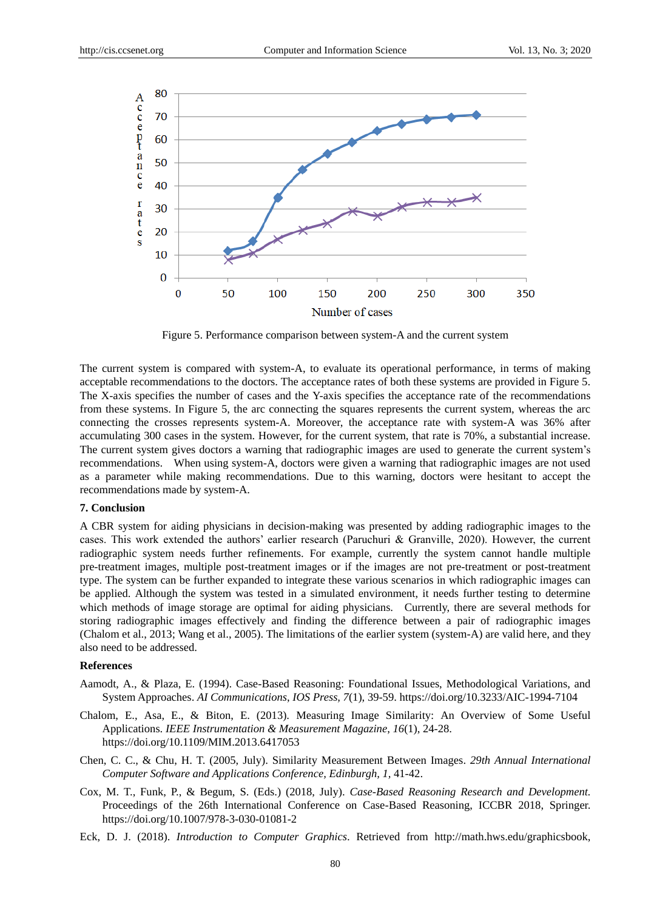![](_page_7_Figure_3.jpeg)

Figure 5. Performance comparison between system-A and the current system

The current system is compared with system-A, to evaluate its operational performance, in terms of making acceptable recommendations to the doctors. The acceptance rates of both these systems are provided in Figure 5. The X-axis specifies the number of cases and the Y-axis specifies the acceptance rate of the recommendations from these systems. In Figure 5, the arc connecting the squares represents the current system, whereas the arc connecting the crosses represents system-A. Moreover, the acceptance rate with system-A was 36% after accumulating 300 cases in the system. However, for the current system, that rate is 70%, a substantial increase. The current system gives doctors a warning that radiographic images are used to generate the current system's recommendations. When using system-A, doctors were given a warning that radiographic images are not used as a parameter while making recommendations. Due to this warning, doctors were hesitant to accept the recommendations made by system-A.

#### **7. Conclusion**

A CBR system for aiding physicians in decision-making was presented by adding radiographic images to the cases. This work extended the authors' earlier research (Paruchuri & Granville, 2020). However, the current radiographic system needs further refinements. For example, currently the system cannot handle multiple pre-treatment images, multiple post-treatment images or if the images are not pre-treatment or post-treatment type. The system can be further expanded to integrate these various scenarios in which radiographic images can be applied. Although the system was tested in a simulated environment, it needs further testing to determine which methods of image storage are optimal for aiding physicians. Currently, there are several methods for storing radiographic images effectively and finding the difference between a pair of radiographic images (Chalom et al., 2013; Wang et al., 2005). The limitations of the earlier system (system-A) are valid here, and they also need to be addressed.

## **References**

- Aamodt, A., & Plaza, E. (1994). Case-Based Reasoning: Foundational Issues, Methodological Variations, and System Approaches. *AI Communications*, *IOS Press, 7*(1), 39-59. https://doi.org/10.3233/AIC-1994-7104
- Chalom, E., Asa, E., & Biton, E. (2013). Measuring Image Similarity: An Overview of Some Useful Applications. *IEEE Instrumentation & Measurement Magazine*, *16*(1), 24-28. https://doi.org/10.1109/MIM.2013.6417053
- Chen, C. C., & Chu, H. T. (2005, July). Similarity Measurement Between Images. *29th Annual International Computer Software and Applications Conference, Edinburgh, 1,* 41-42.
- Cox, M. T., Funk, P., & Begum, S. (Eds.) (2018, July). *Case-Based Reasoning Research and Development.* Proceedings of the 26th International Conference on Case-Based Reasoning, ICCBR 2018, Springer. https://doi.org/10.1007/978-3-030-01081-2
- Eck, D. J. (2018). *Introduction to Computer Graphics*. Retrieved from http://math.hws.edu/graphicsbook,